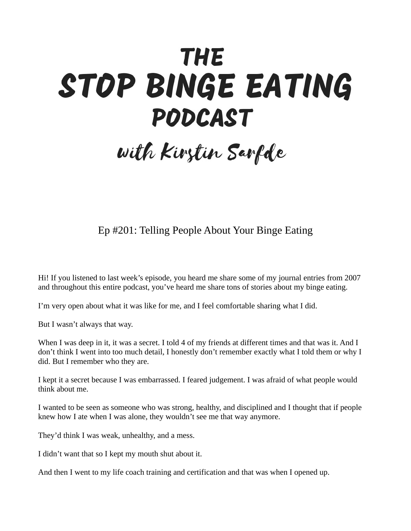## **THE** STOP BINGE EATING **PODCAST**

## with Kirstin Sarfde

Ep #201: Telling People About Your Binge Eating

Hi! If you listened to last week's episode, you heard me share some of my journal entries from 2007 and throughout this entire podcast, you've heard me share tons of stories about my binge eating.

I'm very open about what it was like for me, and I feel comfortable sharing what I did.

But I wasn't always that way.

When I was deep in it, it was a secret. I told 4 of my friends at different times and that was it. And I don't think I went into too much detail, I honestly don't remember exactly what I told them or why I did. But I remember who they are.

I kept it a secret because I was embarrassed. I feared judgement. I was afraid of what people would think about me.

I wanted to be seen as someone who was strong, healthy, and disciplined and I thought that if people knew how I ate when I was alone, they wouldn't see me that way anymore.

They'd think I was weak, unhealthy, and a mess.

I didn't want that so I kept my mouth shut about it.

And then I went to my life coach training and certification and that was when I opened up.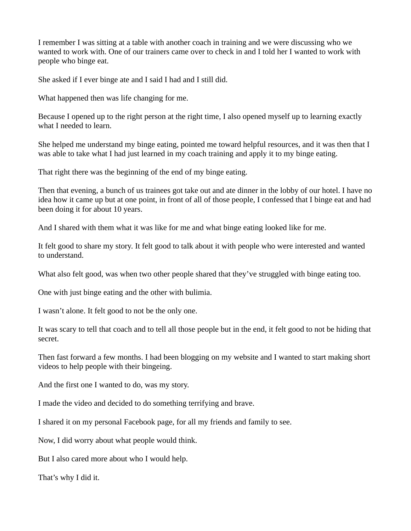I remember I was sitting at a table with another coach in training and we were discussing who we wanted to work with. One of our trainers came over to check in and I told her I wanted to work with people who binge eat.

She asked if I ever binge ate and I said I had and I still did.

What happened then was life changing for me.

Because I opened up to the right person at the right time, I also opened myself up to learning exactly what I needed to learn.

She helped me understand my binge eating, pointed me toward helpful resources, and it was then that I was able to take what I had just learned in my coach training and apply it to my binge eating.

That right there was the beginning of the end of my binge eating.

Then that evening, a bunch of us trainees got take out and ate dinner in the lobby of our hotel. I have no idea how it came up but at one point, in front of all of those people, I confessed that I binge eat and had been doing it for about 10 years.

And I shared with them what it was like for me and what binge eating looked like for me.

It felt good to share my story. It felt good to talk about it with people who were interested and wanted to understand.

What also felt good, was when two other people shared that they've struggled with binge eating too.

One with just binge eating and the other with bulimia.

I wasn't alone. It felt good to not be the only one.

It was scary to tell that coach and to tell all those people but in the end, it felt good to not be hiding that secret.

Then fast forward a few months. I had been blogging on my website and I wanted to start making short videos to help people with their bingeing.

And the first one I wanted to do, was my story.

I made the video and decided to do something terrifying and brave.

I shared it on my personal Facebook page, for all my friends and family to see.

Now, I did worry about what people would think.

But I also cared more about who I would help.

That's why I did it.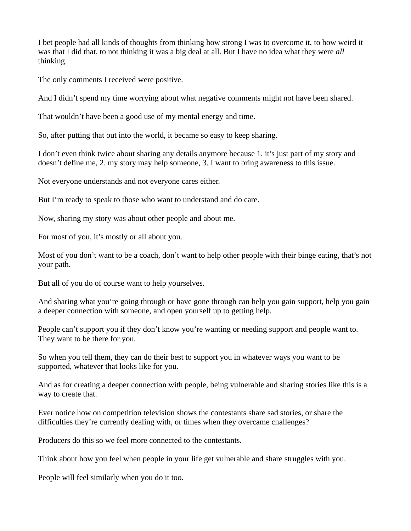I bet people had all kinds of thoughts from thinking how strong I was to overcome it, to how weird it was that I did that, to not thinking it was a big deal at all. But I have no idea what they were *all* thinking.

The only comments I received were positive.

And I didn't spend my time worrying about what negative comments might not have been shared.

That wouldn't have been a good use of my mental energy and time.

So, after putting that out into the world, it became so easy to keep sharing.

I don't even think twice about sharing any details anymore because 1. it's just part of my story and doesn't define me, 2. my story may help someone, 3. I want to bring awareness to this issue.

Not everyone understands and not everyone cares either.

But I'm ready to speak to those who want to understand and do care.

Now, sharing my story was about other people and about me.

For most of you, it's mostly or all about you.

Most of you don't want to be a coach, don't want to help other people with their binge eating, that's not your path.

But all of you do of course want to help yourselves.

And sharing what you're going through or have gone through can help you gain support, help you gain a deeper connection with someone, and open yourself up to getting help.

People can't support you if they don't know you're wanting or needing support and people want to. They want to be there for you.

So when you tell them, they can do their best to support you in whatever ways you want to be supported, whatever that looks like for you.

And as for creating a deeper connection with people, being vulnerable and sharing stories like this is a way to create that.

Ever notice how on competition television shows the contestants share sad stories, or share the difficulties they're currently dealing with, or times when they overcame challenges?

Producers do this so we feel more connected to the contestants.

Think about how you feel when people in your life get vulnerable and share struggles with you.

People will feel similarly when you do it too.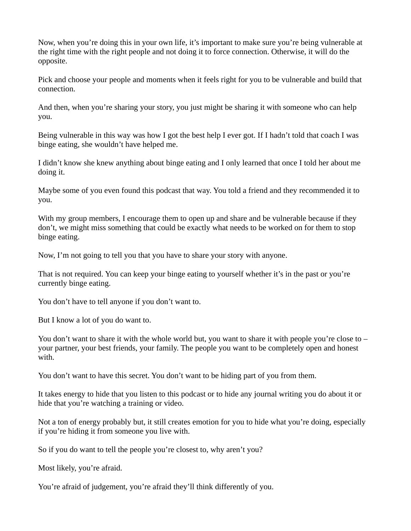Now, when you're doing this in your own life, it's important to make sure you're being vulnerable at the right time with the right people and not doing it to force connection. Otherwise, it will do the opposite.

Pick and choose your people and moments when it feels right for you to be vulnerable and build that connection.

And then, when you're sharing your story, you just might be sharing it with someone who can help you.

Being vulnerable in this way was how I got the best help I ever got. If I hadn't told that coach I was binge eating, she wouldn't have helped me.

I didn't know she knew anything about binge eating and I only learned that once I told her about me doing it.

Maybe some of you even found this podcast that way. You told a friend and they recommended it to you.

With my group members, I encourage them to open up and share and be vulnerable because if they don't, we might miss something that could be exactly what needs to be worked on for them to stop binge eating.

Now, I'm not going to tell you that you have to share your story with anyone.

That is not required. You can keep your binge eating to yourself whether it's in the past or you're currently binge eating.

You don't have to tell anyone if you don't want to.

But I know a lot of you do want to.

You don't want to share it with the whole world but, you want to share it with people you're close to – your partner, your best friends, your family. The people you want to be completely open and honest with.

You don't want to have this secret. You don't want to be hiding part of you from them.

It takes energy to hide that you listen to this podcast or to hide any journal writing you do about it or hide that you're watching a training or video.

Not a ton of energy probably but, it still creates emotion for you to hide what you're doing, especially if you're hiding it from someone you live with.

So if you do want to tell the people you're closest to, why aren't you?

Most likely, you're afraid.

You're afraid of judgement, you're afraid they'll think differently of you.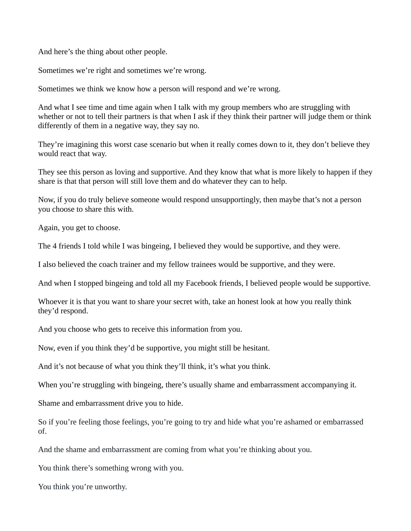And here's the thing about other people.

Sometimes we're right and sometimes we're wrong.

Sometimes we think we know how a person will respond and we're wrong.

And what I see time and time again when I talk with my group members who are struggling with whether or not to tell their partners is that when I ask if they think their partner will judge them or think differently of them in a negative way, they say no.

They're imagining this worst case scenario but when it really comes down to it, they don't believe they would react that way.

They see this person as loving and supportive. And they know that what is more likely to happen if they share is that that person will still love them and do whatever they can to help.

Now, if you do truly believe someone would respond unsupportingly, then maybe that's not a person you choose to share this with.

Again, you get to choose.

The 4 friends I told while I was bingeing, I believed they would be supportive, and they were.

I also believed the coach trainer and my fellow trainees would be supportive, and they were.

And when I stopped bingeing and told all my Facebook friends, I believed people would be supportive.

Whoever it is that you want to share your secret with, take an honest look at how you really think they'd respond.

And you choose who gets to receive this information from you.

Now, even if you think they'd be supportive, you might still be hesitant.

And it's not because of what you think they'll think, it's what you think.

When you're struggling with bingeing, there's usually shame and embarrassment accompanying it.

Shame and embarrassment drive you to hide.

So if you're feeling those feelings, you're going to try and hide what you're ashamed or embarrassed of.

And the shame and embarrassment are coming from what you're thinking about you.

You think there's something wrong with you.

You think you're unworthy.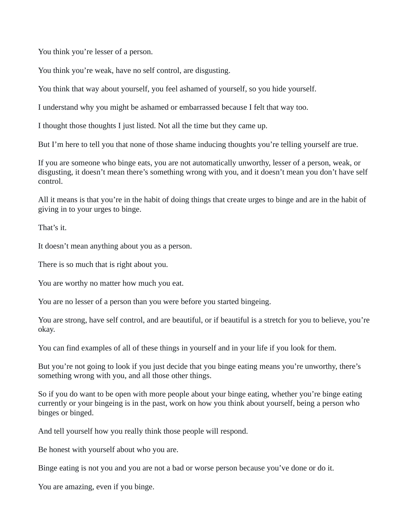You think you're lesser of a person.

You think you're weak, have no self control, are disgusting.

You think that way about yourself, you feel ashamed of yourself, so you hide yourself.

I understand why you might be ashamed or embarrassed because I felt that way too.

I thought those thoughts I just listed. Not all the time but they came up.

But I'm here to tell you that none of those shame inducing thoughts you're telling yourself are true.

If you are someone who binge eats, you are not automatically unworthy, lesser of a person, weak, or disgusting, it doesn't mean there's something wrong with you, and it doesn't mean you don't have self control.

All it means is that you're in the habit of doing things that create urges to binge and are in the habit of giving in to your urges to binge.

That's it.

It doesn't mean anything about you as a person.

There is so much that is right about you.

You are worthy no matter how much you eat.

You are no lesser of a person than you were before you started bingeing.

You are strong, have self control, and are beautiful, or if beautiful is a stretch for you to believe, you're okay.

You can find examples of all of these things in yourself and in your life if you look for them.

But you're not going to look if you just decide that you binge eating means you're unworthy, there's something wrong with you, and all those other things.

So if you do want to be open with more people about your binge eating, whether you're binge eating currently or your bingeing is in the past, work on how you think about yourself, being a person who binges or binged.

And tell yourself how you really think those people will respond.

Be honest with yourself about who you are.

Binge eating is not you and you are not a bad or worse person because you've done or do it.

You are amazing, even if you binge.